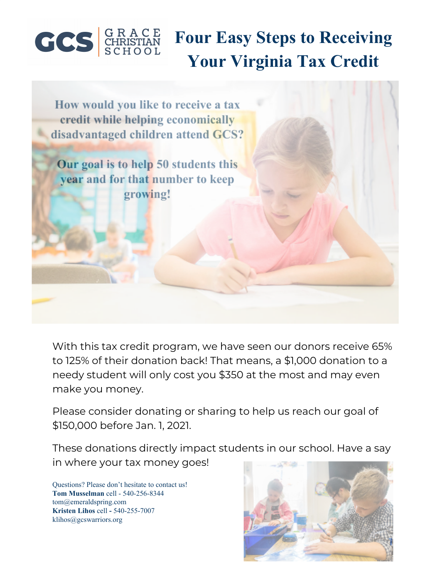

# **Four Easy Steps to Receiving Your Virginia Tax Credit**

How would you like to receive a tax credit while helping economically disadvantaged children attend GCS? Our goal is to help 50 students this **year and for that number to keep** growing!

With this tax credit program, we have seen our donors receive 65% to 125% of their donation back! That means, a \$1,000 donation to a needy student will only cost you \$350 at the most and may even make you money.

Please consider donating or sharing to help us reach our goal of \$150,000 before Jan. 1, 2021.

These donations directly impact students in our school. Have a say in where your tax money goes!

Questions? Please don't hesitate to contact us! **Tom Musselman** cell - 540-256-8344 [tom@emeraldspring.com](mailto:tom@emeraldspring.com) **Kristen Lihos** cell **-** 540-255-7007 klihos@gcswarriors.org

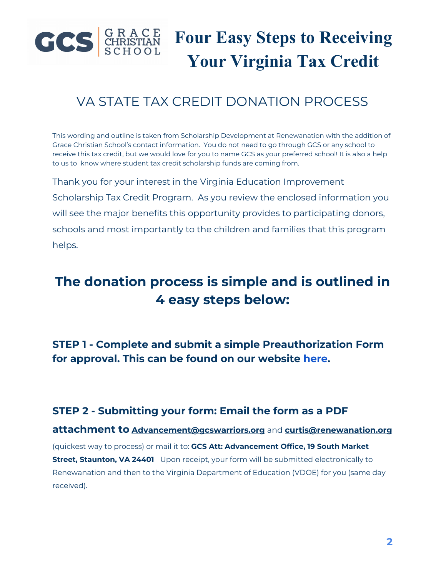

### VA STATE TAX CREDIT DONATION PROCESS

This wording and outline is taken from Scholarship Development at Renewanation with the addition of Grace Christian School's contact information. You do not need to go through GCS or any school to receive this tax credit, but we would love for you to name GCS as your preferred school! It is also a help to us to know where student tax credit scholarship funds are coming from.

Thank you for your interest in the Virginia Education Improvement Scholarship Tax Credit Program. As you review the enclosed information you will see the major benefits this opportunity provides to participating donors, schools and most importantly to the children and families that this program helps.

### **The donation process is simple and is outlined in 4 easy steps below:**

**STEP 1 - Complete and submit a simple Preauthorization Form for approval. This can be found on our website [here.](https://www.gcswarriors.org/support-gcs/virginiataxcreditcholarshipfund.cfm#detailid_330892)**

#### **STEP 2 - Submitting your form: Email the form as a PDF**

**attachment to [Advancement@gcswarriors.org](mailto:Advancement@gcswarriors.org)** and **[curtis@renewanation.org](mailto:curtis@renewanation.org)** (quickest way to process) or mail it to: **GCS Att: Advancement Office, 19 South Market Street, Staunton, VA 24401** Upon receipt, your form will be submitted electronically to Renewanation and then to the Virginia Department of Education (VDOE) for you (same day received).